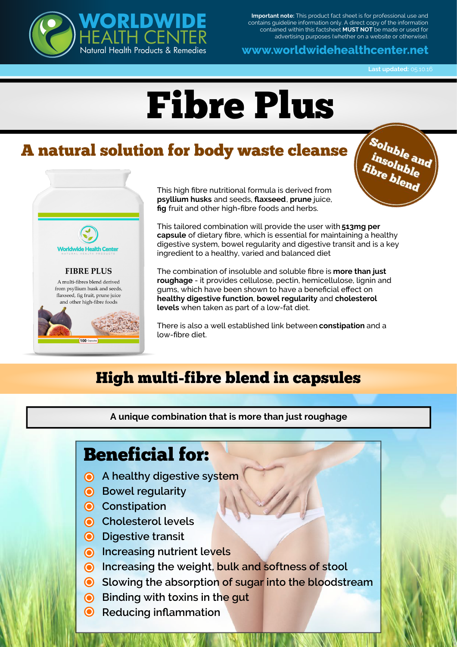

**Important note:** This product fact sheet is for professional use and contains guideline information only. A direct copy of the information contained within this factsheet **MUST NOT** be made or used for advertising purposes (whether on a website or otherwise).

www.worldwidehealthcenter.net

**Last updated: 05.10.16** 

Soluble<br>*insoluble*<br>fibre blend

# Fibre Plus

# A natural solution for body waste cleanse



This high fibre nutritional formula is derived from **psyllium husks** and seeds, **flaxseed**, **prune** juice, **fig** fruit and other high-fibre foods and herbs.

This tailored combination will provide the user with **513mg per capsule** of dietary fibre, which is essential for maintaining a healthy digestive system, bowel regularity and digestive transit and is a key ingredient to a healthy, varied and balanced diet

The combination of insoluble and soluble fibre is **more than just roughage** - it provides cellulose, pectin, hemicellulose, lignin and gums, which have been shown to have a beneficial effect on **healthy digestive function**, **bowel regularity** and **cholesterol levels** when taken as part of a low-fat diet.

There is also a well established link between **constipation** and a low-fibre diet.

## High multi-fibre blend in capsules

**A unique combination that is more than just roughage**

#### Beneficial for:

- **A** healthy digestive system
- **Bowel regularity**
- **Constipation**
- **Cholesterol levels**
- **O** Digestive transit
- **Increasing nutrient levels**
- **O** Increasing the weight, bulk and softness of stool
- **Slowing the absorption of sugar into the bloodstream**
- **Binding with toxins in the gut**
- **<sup>** $\odot$ **</sup>** Reducing inflammation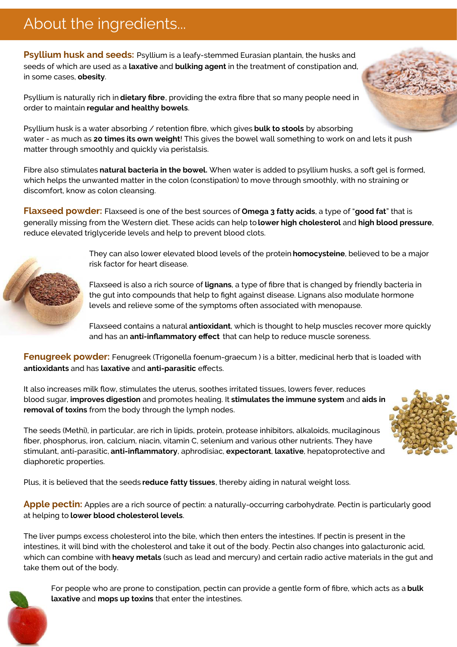## About the ingredients...

**Psyllium husk and seeds:** Psyllium is a leafy-stemmed Eurasian plantain, the husks and seeds of which are used as a **laxative** and **bulking agent** in the treatment of constipation and, in some cases, **obesity**.

Psyllium is naturally rich in **dietary fibre**, providing the extra fibre that so many people need in order to maintain **regular and healthy bowels**.

Psyllium husk is a water absorbing / retention fibre, which gives **bulk to stools** by absorbing water - as much as **20 times its own weight**! This gives the bowel wall something to work on and lets it push matter through smoothly and quickly via peristalsis.

Fibre also stimulates **natural bacteria in the bowel.** When water is added to psyllium husks, a soft gel is formed, which helps the unwanted matter in the colon (constipation) to move through smoothly, with no straining or discomfort, know as colon cleansing.

**Flaxseed powder:** Flaxseed is one of the best sources of **Omega 3 fatty acids**, a type of "**good fat**" that is generally missing from the Western diet. These acids can help to **lower high cholesterol** and **high blood pressure**, reduce elevated triglyceride levels and help to prevent blood clots.

> They can also lower elevated blood levels of the protein **homocysteine**, believed to be a major risk factor for heart disease.

Flaxseed is also a rich source of **lignans**, a type of fibre that is changed by friendly bacteria in the gut into compounds that help to fight against disease. Lignans also modulate hormone levels and relieve some of the symptoms often associated with menopause.

Flaxseed contains a natural **antioxidant**, which is thought to help muscles recover more quickly and has an **anti-inflammatory effect** that can help to reduce muscle soreness.

**Fenugreek powder:** Fenugreek (Trigonella foenum-graecum) is a bitter, medicinal herb that is loaded with **antioxidants** and has **laxative** and **anti-parasitic** effects.

It also increases milk flow, stimulates the uterus, soothes irritated tissues, lowers fever, reduces blood sugar, **improves digestion** and promotes healing. It **stimulates the immune system** and **aids in removal of toxins** from the body through the lymph nodes.

The seeds (Methi), in particular, are rich in lipids, protein, protease inhibitors, alkaloids, mucilaginous fiber, phosphorus, iron, calcium, niacin, vitamin C, selenium and various other nutrients. They have stimulant, anti-parasitic, **anti-inflammatory**, aphrodisiac, **expectorant**, **laxative**, hepatoprotective and diaphoretic properties.

Plus, it is believed that the seeds **reduce fatty tissues**, thereby aiding in natural weight loss.

**Apple pectin:** Apples are a rich source of pectin: a naturally-occurring carbohydrate. Pectin is particularly good at helping to **lower blood cholesterol levels**.

The liver pumps excess cholesterol into the bile, which then enters the intestines. If pectin is present in the intestines, it will bind with the cholesterol and take it out of the body. Pectin also changes into galacturonic acid, which can combine with **heavy metals** (such as lead and mercury) and certain radio active materials in the gut and take them out of the body.



For people who are prone to constipation, pectin can provide a gentle form of fibre, which acts as a **bulk laxative** and **mops up toxins** that enter the intestines.